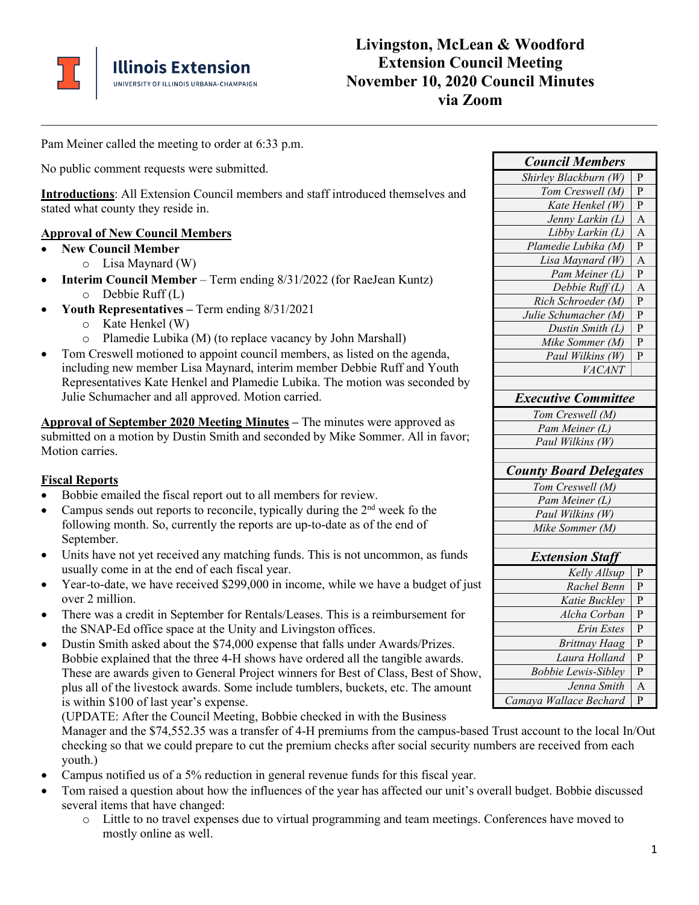

# **Livingston, McLean & Woodford Extension Council Meeting November 10, 2020 Council Minutes via Zoom**

Pam Meiner called the meeting to order at 6:33 p.m.

No public comment requests were submitted.

**Introductions**: All Extension Council members and staff introduced themselves and stated what county they reside in.

**\_\_\_\_\_\_\_\_\_\_\_\_\_\_\_\_\_\_\_\_\_\_\_\_\_\_\_\_\_\_\_\_\_\_\_\_\_\_\_\_\_\_\_\_\_\_\_\_\_\_\_\_\_\_\_\_\_\_\_\_\_\_\_\_\_\_\_\_\_\_\_\_\_\_\_\_\_\_\_\_\_\_\_\_\_\_\_\_\_\_\_\_\_\_\_\_\_\_\_\_\_\_\_\_\_\_\_\_\_\_\_\_\_\_\_\_\_\_\_\_\_\_\_\_\_\_\_\_\_\_\_\_\_\_\_**

#### **Approval of New Council Members**

- **New Council Member** 
	- o Lisa Maynard (W)
- **Interim Council Member** Term ending 8/31/2022 (for RaeJean Kuntz) o Debbie Ruff (L)
- **Youth Representatives –** Term ending 8/31/2021
	- o Kate Henkel (W)
	- o Plamedie Lubika (M) (to replace vacancy by John Marshall)
- Tom Creswell motioned to appoint council members, as listed on the agenda, including new member Lisa Maynard, interim member Debbie Ruff and Youth Representatives Kate Henkel and Plamedie Lubika. The motion was seconded by Julie Schumacher and all approved. Motion carried.

**Approval of September 2020 Meeting Minutes –** The minutes were approved as submitted on a motion by Dustin Smith and seconded by Mike Sommer. All in favor; Motion carries.

#### **Fiscal Reports**

- Bobbie emailed the fiscal report out to all members for review.
- Campus sends out reports to reconcile, typically during the  $2<sup>nd</sup>$  week fo the following month. So, currently the reports are up-to-date as of the end of September.
- Units have not yet received any matching funds. This is not uncommon, as funds usually come in at the end of each fiscal year.
- Year-to-date, we have received \$299,000 in income, while we have a budget of just over 2 million.
- There was a credit in September for Rentals/Leases. This is a reimbursement for the SNAP-Ed office space at the Unity and Livingston offices.
- Dustin Smith asked about the \$74,000 expense that falls under Awards/Prizes. Bobbie explained that the three 4-H shows have ordered all the tangible awards. These are awards given to General Project winners for Best of Class, Best of Show, plus all of the livestock awards. Some include tumblers, buckets, etc. The amount is within \$100 of last year's expense.

(UPDATE: After the Council Meeting, Bobbie checked in with the Business Manager and the \$74,552.35 was a transfer of 4-H premiums from the campus-based Trust account to the local In/Out checking so that we could prepare to cut the premium checks after social security numbers are received from each youth.)

- Campus notified us of a 5% reduction in general revenue funds for this fiscal year.
- Tom raised a question about how the influences of the year has affected our unit's overall budget. Bobbie discussed several items that have changed:
	- o Little to no travel expenses due to virtual programming and team meetings. Conferences have moved to mostly online as well.

| <b>Council Members</b>        |                         |
|-------------------------------|-------------------------|
| Shirley Blackburn (W)         | P                       |
| Tom Creswell (M)              | P                       |
| Kate Henkel (W)               | P                       |
| Jenny Larkin (L)              | $\overline{A}$          |
| Libby Larkin (L)              | $\overline{A}$          |
| Plamedie Lubika (M)           | $\mathbf{P}$            |
| Lisa Maynard (W)              | A                       |
| Pam Meiner (L)                | $\overline{\mathrm{P}}$ |
| Debbie Ruff (L)               | A                       |
| Rich Schroeder (M)            | $\overline{P}$          |
| Julie Schumacher (M)          | P                       |
| Dustin Smith (L)              | P                       |
| Mike Sommer (M)               | P                       |
| Paul Wilkins (W)              | P                       |
| VACANT                        |                         |
|                               |                         |
| <b>Executive Committee</b>    |                         |
| Tom Creswell (M)              |                         |
| Pam Meiner (L)                |                         |
| Paul Wilkins (W)              |                         |
|                               |                         |
| <b>County Board Delegates</b> |                         |
| Tom Creswell (M)              |                         |
| Pam Meiner (L)                |                         |
| Paul Wilkins (W)              |                         |
| Mike Sommer (M)               |                         |
|                               |                         |
| <b>Extension Staff</b>        |                         |
| Kelly Allsup                  | P                       |
| Rachel Benn                   | P                       |
| Katie Buckley                 | P                       |
| Alcha Corban                  | P                       |
| <b>Erin Estes</b>             | P                       |
| <b>Brittnay Haag</b>          | P                       |
| Laura Holland                 | $\mathbf{P}$            |
| <b>Bobbie Lewis-Sibley</b>    | $\overline{\mathrm{P}}$ |
| Jenna Smith                   | A                       |
| Camaya Wallace Bechard        | P                       |
|                               |                         |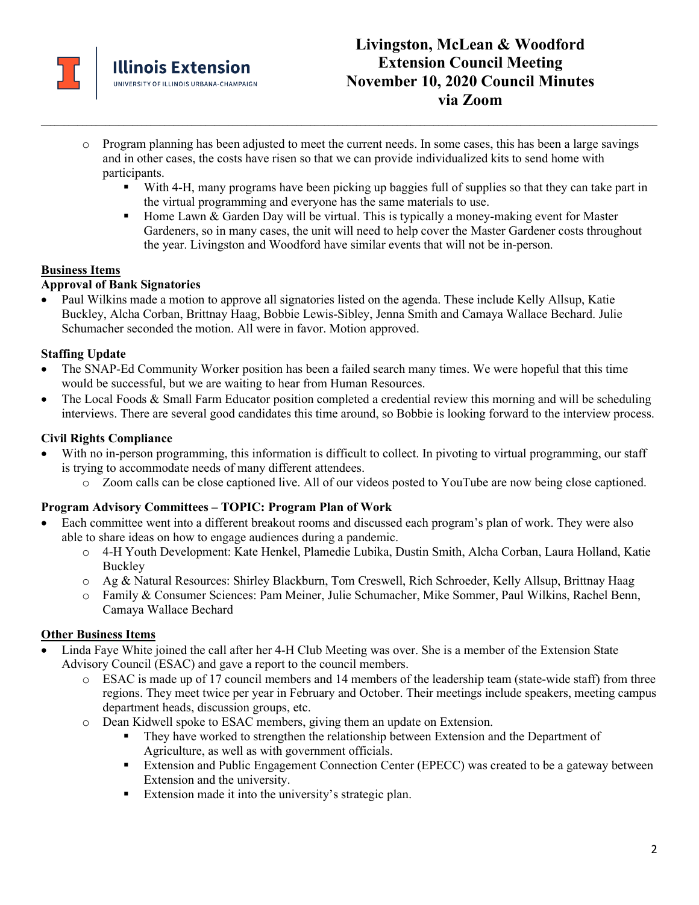

o Program planning has been adjusted to meet the current needs. In some cases, this has been a large savings and in other cases, the costs have risen so that we can provide individualized kits to send home with participants.

**\_\_\_\_\_\_\_\_\_\_\_\_\_\_\_\_\_\_\_\_\_\_\_\_\_\_\_\_\_\_\_\_\_\_\_\_\_\_\_\_\_\_\_\_\_\_\_\_\_\_\_\_\_\_\_\_\_\_\_\_\_\_\_\_\_\_\_\_\_\_\_\_\_\_\_\_\_\_\_\_\_\_\_\_\_\_\_\_\_\_\_\_\_\_\_\_\_\_\_\_\_\_\_\_\_\_\_\_\_\_\_\_\_\_\_\_\_\_\_\_\_\_\_\_\_\_\_\_\_\_\_\_\_\_\_**

- With 4-H, many programs have been picking up baggies full of supplies so that they can take part in the virtual programming and everyone has the same materials to use.
- $\blacksquare$  Home Lawn & Garden Day will be virtual. This is typically a money-making event for Master Gardeners, so in many cases, the unit will need to help cover the Master Gardener costs throughout the year. Livingston and Woodford have similar events that will not be in-person.

#### **Business Items**

#### **Approval of Bank Signatories**

• Paul Wilkins made a motion to approve all signatories listed on the agenda. These include Kelly Allsup, Katie Buckley, Alcha Corban, Brittnay Haag, Bobbie Lewis-Sibley, Jenna Smith and Camaya Wallace Bechard. Julie Schumacher seconded the motion. All were in favor. Motion approved.

#### **Staffing Update**

- The SNAP-Ed Community Worker position has been a failed search many times. We were hopeful that this time would be successful, but we are waiting to hear from Human Resources.
- The Local Foods & Small Farm Educator position completed a credential review this morning and will be scheduling interviews. There are several good candidates this time around, so Bobbie is looking forward to the interview process.

#### **Civil Rights Compliance**

- With no in-person programming, this information is difficult to collect. In pivoting to virtual programming, our staff is trying to accommodate needs of many different attendees.
	- o Zoom calls can be close captioned live. All of our videos posted to YouTube are now being close captioned.

#### **Program Advisory Committees – TOPIC: Program Plan of Work**

- Each committee went into a different breakout rooms and discussed each program's plan of work. They were also able to share ideas on how to engage audiences during a pandemic.
	- o 4-H Youth Development: Kate Henkel, Plamedie Lubika, Dustin Smith, Alcha Corban, Laura Holland, Katie Buckley
	- o Ag & Natural Resources: Shirley Blackburn, Tom Creswell, Rich Schroeder, Kelly Allsup, Brittnay Haag
	- o Family & Consumer Sciences: Pam Meiner, Julie Schumacher, Mike Sommer, Paul Wilkins, Rachel Benn, Camaya Wallace Bechard

### **Other Business Items**

- Linda Faye White joined the call after her 4-H Club Meeting was over. She is a member of the Extension State Advisory Council (ESAC) and gave a report to the council members.
	- o ESAC is made up of 17 council members and 14 members of the leadership team (state-wide staff) from three regions. They meet twice per year in February and October. Their meetings include speakers, meeting campus department heads, discussion groups, etc.
	- o Dean Kidwell spoke to ESAC members, giving them an update on Extension.
		- They have worked to strengthen the relationship between Extension and the Department of Agriculture, as well as with government officials.
		- Extension and Public Engagement Connection Center (EPECC) was created to be a gateway between Extension and the university.
		- Extension made it into the university's strategic plan.